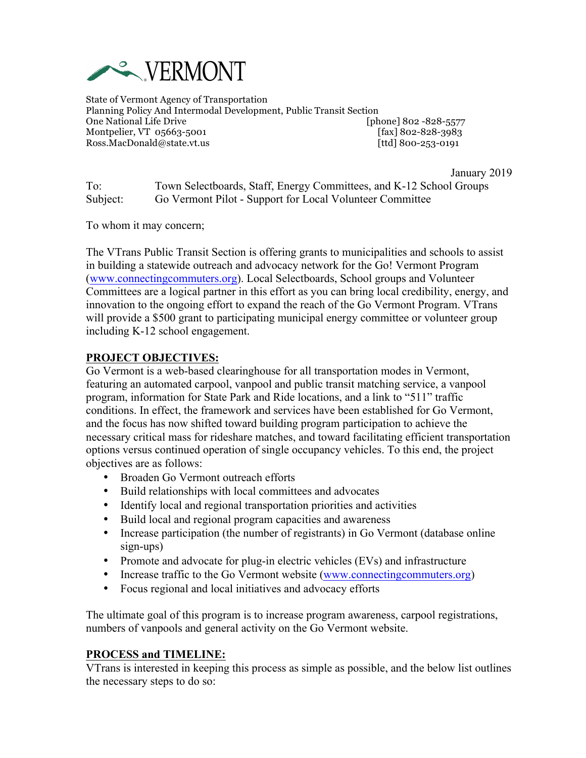

State of Vermont Agency of Transportation Planning Policy And Intermodal Development, Public Transit Section One National Life Drive **Cone 2021** [phone] 802 -828-5577 Montpelier, VT 05663-5001 [fax] 802-828-3983 Ross.MacDonald@state.vt.us [ttd] 800-253-0191

January 2019

To: Town Selectboards, Staff, Energy Committees, and K-12 School Groups Subject: Go Vermont Pilot - Support for Local Volunteer Committee

To whom it may concern;

The VTrans Public Transit Section is offering grants to municipalities and schools to assist in building a statewide outreach and advocacy network for the Go! Vermont Program (www.connectingcommuters.org). Local Selectboards, School groups and Volunteer Committees are a logical partner in this effort as you can bring local credibility, energy, and innovation to the ongoing effort to expand the reach of the Go Vermont Program. VTrans will provide a \$500 grant to participating municipal energy committee or volunteer group including K-12 school engagement.

# **PROJECT OBJECTIVES:**

Go Vermont is a web-based clearinghouse for all transportation modes in Vermont, featuring an automated carpool, vanpool and public transit matching service, a vanpool program, information for State Park and Ride locations, and a link to "511" traffic conditions. In effect, the framework and services have been established for Go Vermont, and the focus has now shifted toward building program participation to achieve the necessary critical mass for rideshare matches, and toward facilitating efficient transportation options versus continued operation of single occupancy vehicles. To this end, the project objectives are as follows:

- Broaden Go Vermont outreach efforts
- Build relationships with local committees and advocates
- Identify local and regional transportation priorities and activities
- Build local and regional program capacities and awareness
- Increase participation (the number of registrants) in Go Vermont (database online sign-ups)
- Promote and advocate for plug-in electric vehicles (EVs) and infrastructure
- Increase traffic to the Go Vermont website (www.connectingcommuters.org)
- Focus regional and local initiatives and advocacy efforts

The ultimate goal of this program is to increase program awareness, carpool registrations, numbers of vanpools and general activity on the Go Vermont website.

### **PROCESS and TIMELINE:**

VTrans is interested in keeping this process as simple as possible, and the below list outlines the necessary steps to do so: